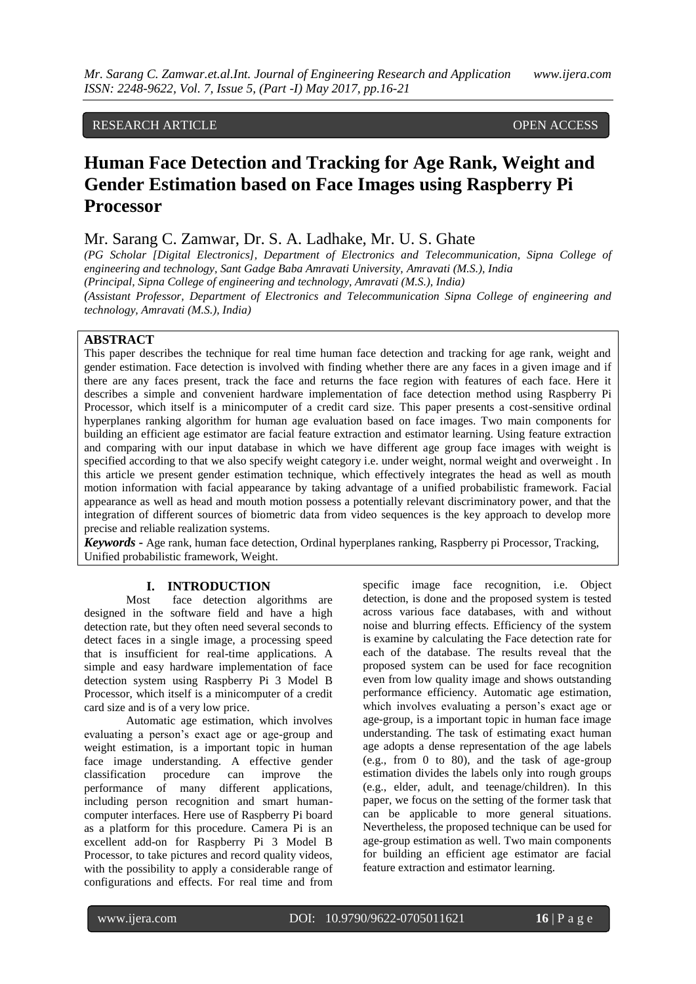# RESEARCH ARTICLE **CONSERVERS** OPEN ACCESS

# **Human Face Detection and Tracking for Age Rank, Weight and Gender Estimation based on Face Images using Raspberry Pi Processor**

# Mr. Sarang C. Zamwar, Dr. S. A. Ladhake, Mr. U. S. Ghate

*(PG Scholar [Digital Electronics], Department of Electronics and Telecommunication, Sipna College of engineering and technology, Sant Gadge Baba Amravati University, Amravati (M.S.), India (Principal, Sipna College of engineering and technology, Amravati (M.S.), India) (Assistant Professor, Department of Electronics and Telecommunication Sipna College of engineering and* 

*technology, Amravati (M.S.), India)*

# **ABSTRACT**

This paper describes the technique for real time human face detection and tracking for age rank, weight and gender estimation. Face detection is involved with finding whether there are any faces in a given image and if there are any faces present, track the face and returns the face region with features of each face. Here it describes a simple and convenient hardware implementation of face detection method using Raspberry Pi Processor, which itself is a minicomputer of a credit card size. This paper presents a cost-sensitive ordinal hyperplanes ranking algorithm for human age evaluation based on face images. Two main components for building an efficient age estimator are facial feature extraction and estimator learning. Using feature extraction and comparing with our input database in which we have different age group face images with weight is specified according to that we also specify weight category i.e. under weight, normal weight and overweight . In this article we present gender estimation technique, which effectively integrates the head as well as mouth motion information with facial appearance by taking advantage of a unified probabilistic framework. Facial appearance as well as head and mouth motion possess a potentially relevant discriminatory power, and that the integration of different sources of biometric data from video sequences is the key approach to develop more precise and reliable realization systems.

*Keywords* **-** Age rank, human face detection, Ordinal hyperplanes ranking, Raspberry pi Processor, Tracking, Unified probabilistic framework, Weight.

# **I. INTRODUCTION**

Most face detection algorithms are designed in the software field and have a high detection rate, but they often need several seconds to detect faces in a single image, a processing speed that is insufficient for real-time applications. A simple and easy hardware implementation of face detection system using Raspberry Pi 3 Model B Processor, which itself is a minicomputer of a credit card size and is of a very low price.

Automatic age estimation, which involves evaluating a person's exact age or age-group and weight estimation, is a important topic in human face image understanding. A effective gender classification procedure can improve the performance of many different applications, including person recognition and smart humancomputer interfaces. Here use of Raspberry Pi board as a platform for this procedure. Camera Pi is an excellent add-on for Raspberry Pi 3 Model B Processor, to take pictures and record quality videos, with the possibility to apply a considerable range of configurations and effects. For real time and from

specific image face recognition, i.e. Object detection, is done and the proposed system is tested across various face databases, with and without noise and blurring effects. Efficiency of the system is examine by calculating the Face detection rate for each of the database. The results reveal that the proposed system can be used for face recognition even from low quality image and shows outstanding performance efficiency. Automatic age estimation, which involves evaluating a person's exact age or age-group, is a important topic in human face image understanding. The task of estimating exact human age adopts a dense representation of the age labels (e.g., from 0 to 80), and the task of age-group estimation divides the labels only into rough groups (e.g., elder, adult, and teenage/children). In this paper, we focus on the setting of the former task that can be applicable to more general situations. Nevertheless, the proposed technique can be used for age-group estimation as well. Two main components for building an efficient age estimator are facial feature extraction and estimator learning.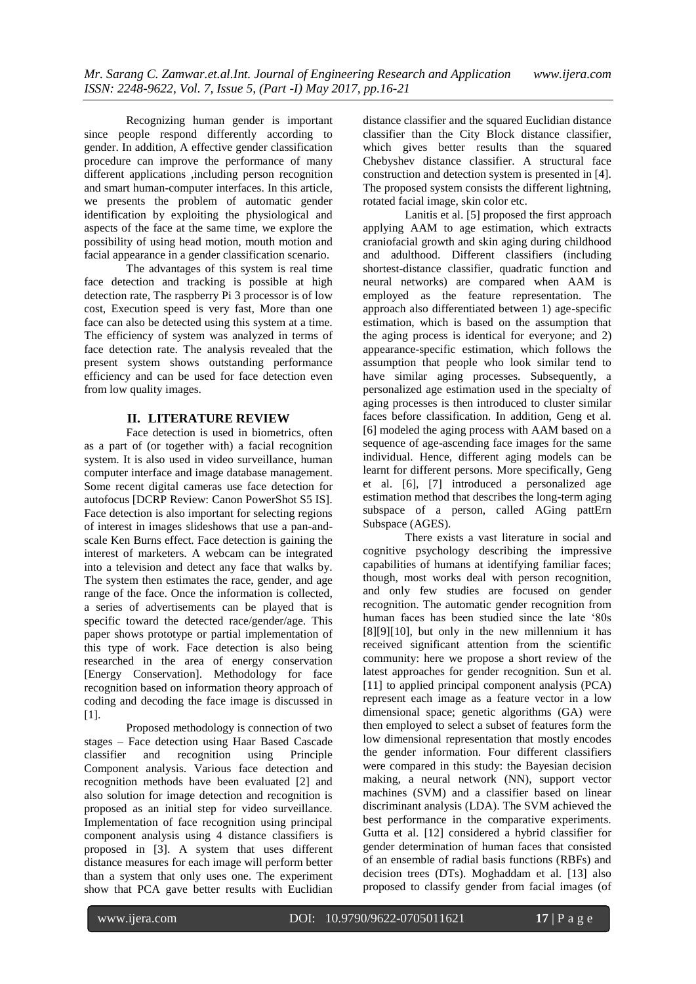Recognizing human gender is important since people respond differently according to gender. In addition, A effective gender classification procedure can improve the performance of many different applications ,including person recognition and smart human-computer interfaces. In this article, we presents the problem of automatic gender identification by exploiting the physiological and aspects of the face at the same time, we explore the possibility of using head motion, mouth motion and facial appearance in a gender classification scenario.

The advantages of this system is real time face detection and tracking is possible at high detection rate, The raspberry Pi 3 processor is of low cost, Execution speed is very fast, More than one face can also be detected using this system at a time. The efficiency of system was analyzed in terms of face detection rate. The analysis revealed that the present system shows outstanding performance efficiency and can be used for face detection even from low quality images.

## **II. LITERATURE REVIEW**

Face detection is used in biometrics, often as a part of (or together with) a facial recognition system. It is also used in video surveillance, human computer interface and image database management. Some recent digital cameras use face detection for autofocus [DCRP Review: Canon PowerShot S5 IS]. Face detection is also important for selecting regions of interest in images slideshows that use a pan-andscale Ken Burns effect. Face detection is gaining the interest of marketers. A webcam can be integrated into a television and detect any face that walks by. The system then estimates the race, gender, and age range of the face. Once the information is collected, a series of advertisements can be played that is specific toward the detected race/gender/age. This paper shows prototype or partial implementation of this type of work. Face detection is also being researched in the area of energy conservation [Energy Conservation]. Methodology for face recognition based on information theory approach of coding and decoding the face image is discussed in  $[1]$ .

Proposed methodology is connection of two stages – Face detection using Haar Based Cascade classifier and recognition using Principle Component analysis. Various face detection and recognition methods have been evaluated [2] and also solution for image detection and recognition is proposed as an initial step for video surveillance. Implementation of face recognition using principal component analysis using 4 distance classifiers is proposed in [3]. A system that uses different distance measures for each image will perform better than a system that only uses one. The experiment show that PCA gave better results with Euclidian

distance classifier and the squared Euclidian distance classifier than the City Block distance classifier, which gives better results than the squared Chebyshev distance classifier. A structural face construction and detection system is presented in [4]. The proposed system consists the different lightning, rotated facial image, skin color etc.

Lanitis et al. [5] proposed the first approach applying AAM to age estimation, which extracts craniofacial growth and skin aging during childhood and adulthood. Different classifiers (including shortest-distance classifier, quadratic function and neural networks) are compared when AAM is employed as the feature representation. The approach also differentiated between 1) age-specific estimation, which is based on the assumption that the aging process is identical for everyone; and 2) appearance-specific estimation, which follows the assumption that people who look similar tend to have similar aging processes. Subsequently, a personalized age estimation used in the specialty of aging processes is then introduced to cluster similar faces before classification. In addition, Geng et al. [6] modeled the aging process with AAM based on a sequence of age-ascending face images for the same individual. Hence, different aging models can be learnt for different persons. More specifically, Geng et al. [6], [7] introduced a personalized age estimation method that describes the long-term aging subspace of a person, called AGing pattErn Subspace (AGES).

There exists a vast literature in social and cognitive psychology describing the impressive capabilities of humans at identifying familiar faces; though, most works deal with person recognition, and only few studies are focused on gender recognition. The automatic gender recognition from human faces has been studied since the late '80s [8][9][10], but only in the new millennium it has received significant attention from the scientific community: here we propose a short review of the latest approaches for gender recognition. Sun et al. [11] to applied principal component analysis (PCA) represent each image as a feature vector in a low dimensional space; genetic algorithms (GA) were then employed to select a subset of features form the low dimensional representation that mostly encodes the gender information. Four different classifiers were compared in this study: the Bayesian decision making, a neural network (NN), support vector machines (SVM) and a classifier based on linear discriminant analysis (LDA). The SVM achieved the best performance in the comparative experiments. Gutta et al. [12] considered a hybrid classifier for gender determination of human faces that consisted of an ensemble of radial basis functions (RBFs) and decision trees (DTs). Moghaddam et al. [13] also proposed to classify gender from facial images (of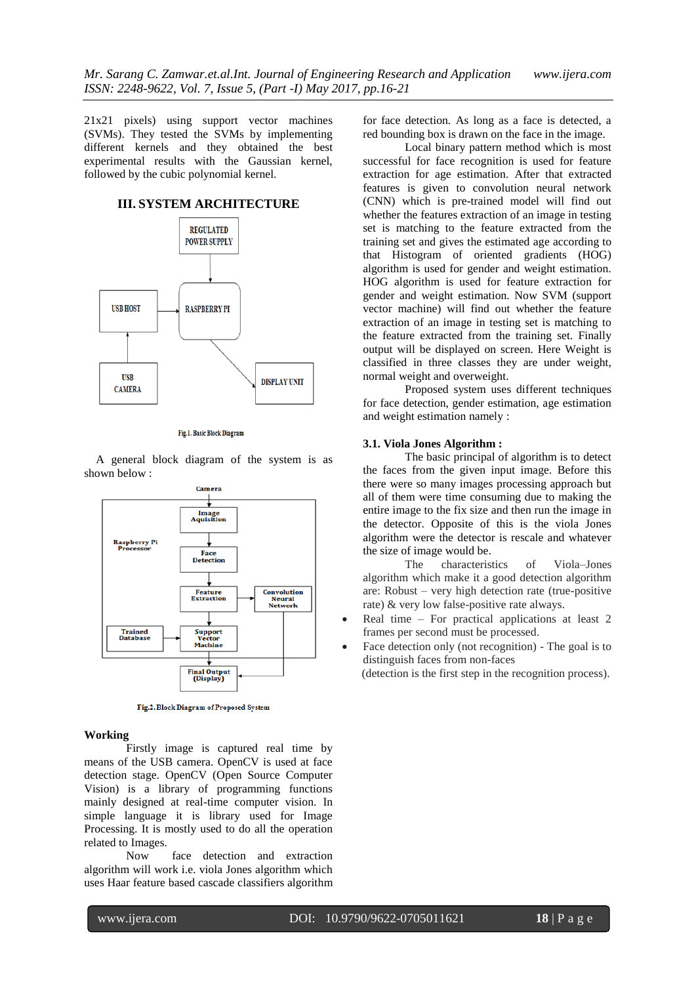21x21 pixels) using support vector machines (SVMs). They tested the SVMs by implementing different kernels and they obtained the best experimental results with the Gaussian kernel, followed by the cubic polynomial kernel.



#### Fig.1. Basic Block Diagram

 A general block diagram of the system is as shown below :



Fig.2. Block Diagram of Proposed System

#### **Working**

Firstly image is captured real time by means of the USB camera. OpenCV is used at face detection stage. OpenCV (Open Source Computer Vision) is a library of programming functions mainly designed at real-time computer vision. In simple language it is library used for Image Processing. It is mostly used to do all the operation related to Images.

Now face detection and extraction algorithm will work i.e. viola Jones algorithm which uses Haar feature based cascade classifiers algorithm for face detection. As long as a face is detected, a red bounding box is drawn on the face in the image.

Local binary pattern method which is most successful for face recognition is used for feature extraction for age estimation. After that extracted features is given to convolution neural network (CNN) which is pre-trained model will find out whether the features extraction of an image in testing set is matching to the feature extracted from the training set and gives the estimated age according to that Histogram of oriented gradients (HOG) algorithm is used for gender and weight estimation. HOG algorithm is used for feature extraction for gender and weight estimation. Now SVM (support vector machine) will find out whether the feature extraction of an image in testing set is matching to the feature extracted from the training set. Finally output will be displayed on screen. Here Weight is classified in three classes they are under weight, normal weight and overweight.

Proposed system uses different techniques for face detection, gender estimation, age estimation and weight estimation namely :

## **3.1. Viola Jones Algorithm :**

The basic principal of algorithm is to detect the faces from the given input image. Before this there were so many images processing approach but all of them were time consuming due to making the entire image to the fix size and then run the image in the detector. Opposite of this is the viola Jones algorithm were the detector is rescale and whatever the size of image would be.

The characteristics of Viola–Jones algorithm which make it a good detection algorithm are: Robust – very high detection rate (true-positive rate) & very low false-positive rate always.

- Real time For practical applications at least 2 frames per second must be processed.
- Face detection only (not recognition) The goal is to distinguish faces from non-faces

(detection is the first step in the recognition process).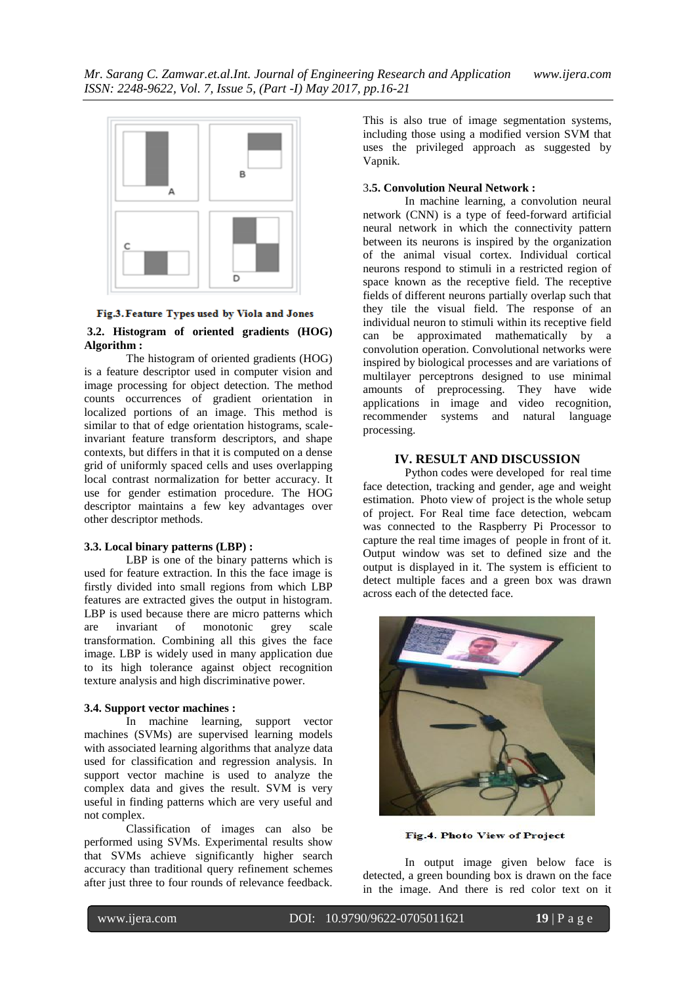

#### Fig.3. Feature Types used by Viola and Jones

### **3.2. Histogram of oriented gradients (HOG) Algorithm :**

The histogram of oriented gradients (HOG) is a feature descriptor used in computer vision and image processing for object detection. The method counts occurrences of gradient orientation in localized portions of an image. This method is similar to that of edge orientation histograms, scaleinvariant feature transform descriptors, and shape contexts, but differs in that it is computed on a dense grid of uniformly spaced cells and uses overlapping local contrast normalization for better accuracy. It use for gender estimation procedure. The HOG descriptor maintains a few key advantages over other descriptor methods.

## **3.3. Local binary patterns (LBP) :**

LBP is one of the binary patterns which is used for feature extraction. In this the face image is firstly divided into small regions from which LBP features are extracted gives the output in histogram. LBP is used because there are micro patterns which are invariant of monotonic grey scale transformation. Combining all this gives the face image. LBP is widely used in many application due to its high tolerance against object recognition texture analysis and high discriminative power.

#### **3.4. Support vector machines :**

In machine learning, support vector machines (SVMs) are supervised learning models with associated learning algorithms that analyze data used for classification and regression analysis. In support vector machine is used to analyze the complex data and gives the result. SVM is very useful in finding patterns which are very useful and not complex.

Classification of images can also be performed using SVMs. Experimental results show that SVMs achieve significantly higher search accuracy than traditional query refinement schemes after just three to four rounds of relevance feedback.

This is also true of image segmentation systems, including those using a modified version SVM that uses the privileged approach as suggested by Vapnik.

## 3**.5. Convolution Neural Network :**

In machine learning, a convolution neural network (CNN) is a type of feed-forward artificial neural network in which the connectivity pattern between its neurons is inspired by the organization of the animal visual cortex. Individual cortical neurons respond to stimuli in a restricted region of space known as the receptive field. The receptive fields of different neurons partially overlap such that they tile the visual field. The response of an individual neuron to stimuli within its receptive field can be approximated mathematically by a convolution operation. Convolutional networks were inspired by biological processes and are variations of multilayer perceptrons designed to use minimal amounts of preprocessing. They have wide applications in image and video recognition, recommender systems and natural language processing.

#### **IV. RESULT AND DISCUSSION**

Python codes were developed for real time face detection, tracking and gender, age and weight estimation. Photo view of project is the whole setup of project. For Real time face detection, webcam was connected to the Raspberry Pi Processor to capture the real time images of people in front of it. Output window was set to defined size and the output is displayed in it. The system is efficient to detect multiple faces and a green box was drawn across each of the detected face.



Fig.4. Photo View of Project

In output image given below face is detected, a green bounding box is drawn on the face in the image. And there is red color text on it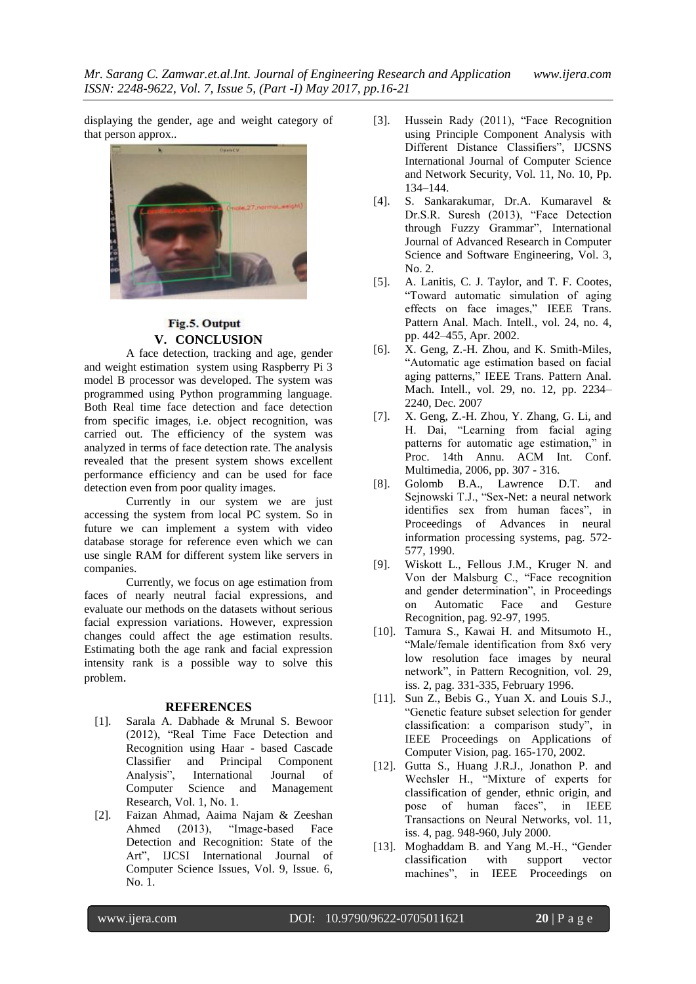displaying the gender, age and weight category of that person approx..



# Fig.5. Output **V. CONCLUSION**

A face detection, tracking and age, gender and weight estimation system using Raspberry Pi 3 model B processor was developed. The system was programmed using Python programming language. Both Real time face detection and face detection from specific images, i.e. object recognition, was carried out. The efficiency of the system was analyzed in terms of face detection rate. The analysis revealed that the present system shows excellent performance efficiency and can be used for face detection even from poor quality images.

Currently in our system we are just accessing the system from local PC system. So in future we can implement a system with video database storage for reference even which we can use single RAM for different system like servers in companies.

Currently, we focus on age estimation from faces of nearly neutral facial expressions, and evaluate our methods on the datasets without serious facial expression variations. However, expression changes could affect the age estimation results. Estimating both the age rank and facial expression intensity rank is a possible way to solve this problem.

## **REFERENCES**

- [1]. Sarala A. Dabhade & Mrunal S. Bewoor (2012), "Real Time Face Detection and Recognition using Haar - based Cascade Classifier and Principal Component International Journal of Computer Science and Management Research, Vol. 1, No. 1.
- [2]. Faizan Ahmad, Aaima Najam & Zeeshan Ahmed (2013), "Image-based Face Detection and Recognition: State of the Art", IJCSI International Journal of Computer Science Issues, Vol. 9, Issue. 6, No. 1.
- [3]. Hussein Rady (2011), "Face Recognition using Principle Component Analysis with Different Distance Classifiers", IJCSNS International Journal of Computer Science and Network Security, Vol. 11, No. 10, Pp. 134–144.
- [4]. S. Sankarakumar, Dr.A. Kumaravel & Dr.S.R. Suresh (2013), "Face Detection through Fuzzy Grammar", International Journal of Advanced Research in Computer Science and Software Engineering, Vol. 3, No. 2.
- [5]. A. Lanitis, C. J. Taylor, and T. F. Cootes, "Toward automatic simulation of aging effects on face images," IEEE Trans. Pattern Anal. Mach. Intell., vol. 24, no. 4, pp. 442–455, Apr. 2002.
- [6]. X. Geng, Z.-H. Zhou, and K. Smith-Miles, "Automatic age estimation based on facial aging patterns," IEEE Trans. Pattern Anal. Mach. Intell., vol. 29, no. 12, pp. 2234– 2240, Dec. 2007
- [7]. X. Geng, Z.-H. Zhou, Y. Zhang, G. Li, and H. Dai, "Learning from facial aging patterns for automatic age estimation," in Proc. 14th Annu. ACM Int. Conf. Multimedia, 2006, pp. 307 - 316.
- [8]. Golomb B.A., Lawrence D.T. and Sejnowski T.J., "Sex-Net: a neural network identifies sex from human faces", in Proceedings of Advances in neural information processing systems, pag. 572- 577, 1990.
- [9]. Wiskott L., Fellous J.M., Kruger N. and Von der Malsburg C., "Face recognition and gender determination", in Proceedings on Automatic Face and Gesture Recognition, pag. 92-97, 1995.
- [10]. Tamura S., Kawai H. and Mitsumoto H., "Male/female identification from 8x6 very low resolution face images by neural network", in Pattern Recognition, vol. 29, iss. 2, pag. 331-335, February 1996.
- [11]. Sun Z., Bebis G., Yuan X. and Louis S.J., "Genetic feature subset selection for gender classification: a comparison study", in IEEE Proceedings on Applications of Computer Vision, pag. 165-170, 2002.
- [12]. Gutta S., Huang J.R.J., Jonathon P. and Wechsler H., "Mixture of experts for classification of gender, ethnic origin, and pose of human faces", in IEEE Transactions on Neural Networks, vol. 11, iss. 4, pag. 948-960, July 2000.
- [13]. Moghaddam B. and Yang M.-H., "Gender classification with support vector machines", in IEEE Proceedings on